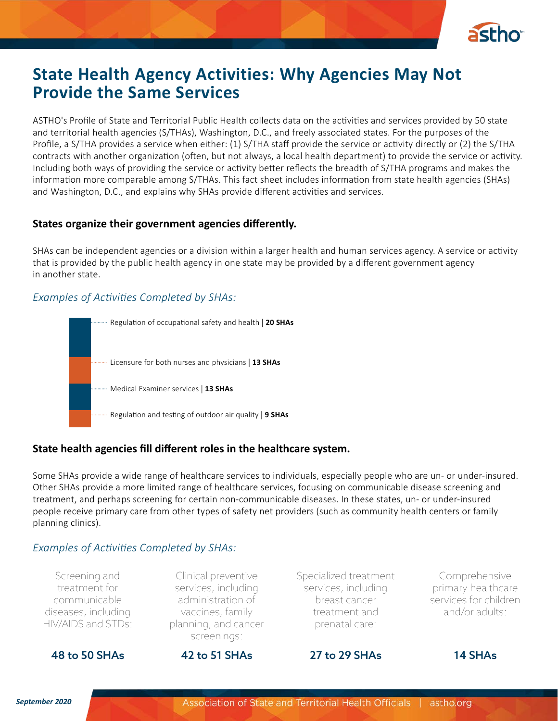

# **State Health Agency Activities: Why Agencies May Not Provide the Same Services**

ASTHO's Profile of State and Territorial Public Health collects data on the activities and services provided by 50 state and territorial health agencies (S/THAs), Washington, D.C., and freely associated states. For the purposes of the Profile, a S/THA provides a service when either: (1) S/THA staff provide the service or activity directly or (2) the S/THA contracts with another organization (often, but not always, a local health department) to provide the service or activity. Including both ways of providing the service or activity better reflects the breadth of S/THA programs and makes the information more comparable among S/THAs. This fact sheet includes information from state health agencies (SHAs) and Washington, D.C., and explains why SHAs provide different activities and services.

# **States organize their government agencies differently.**

SHAs can be independent agencies or a division within a larger health and human services agency. A service or activity that is provided by the public health agency in one state may be provided by a different government agency in another state.

# *Examples of Activities Completed by SHAs:*



# **State health agencies fill different roles in the healthcare system.**

Some SHAs provide a wide range of healthcare services to individuals, especially people who are un- or under-insured. Other SHAs provide a more limited range of healthcare services, focusing on communicable disease screening and treatment, and perhaps screening for certain non-communicable diseases. In these states, un- or under-insured people receive primary care from other types of safety net providers (such as community health centers or family planning clinics).

# *Examples of Activities Completed by SHAs:*

Screening and treatment for communicable diseases, including HIV/AIDS and STDs:

Clinical preventive services, including administration of vaccines, family planning, and cancer screenings:

Specialized treatment services, including breast cancer treatment and prenatal care:

Comprehensive primary healthcare services for children and/or adults:

48 to 50 SHAs 42 to 51 SHAs 27 to 29 SHAs 14 SHAs